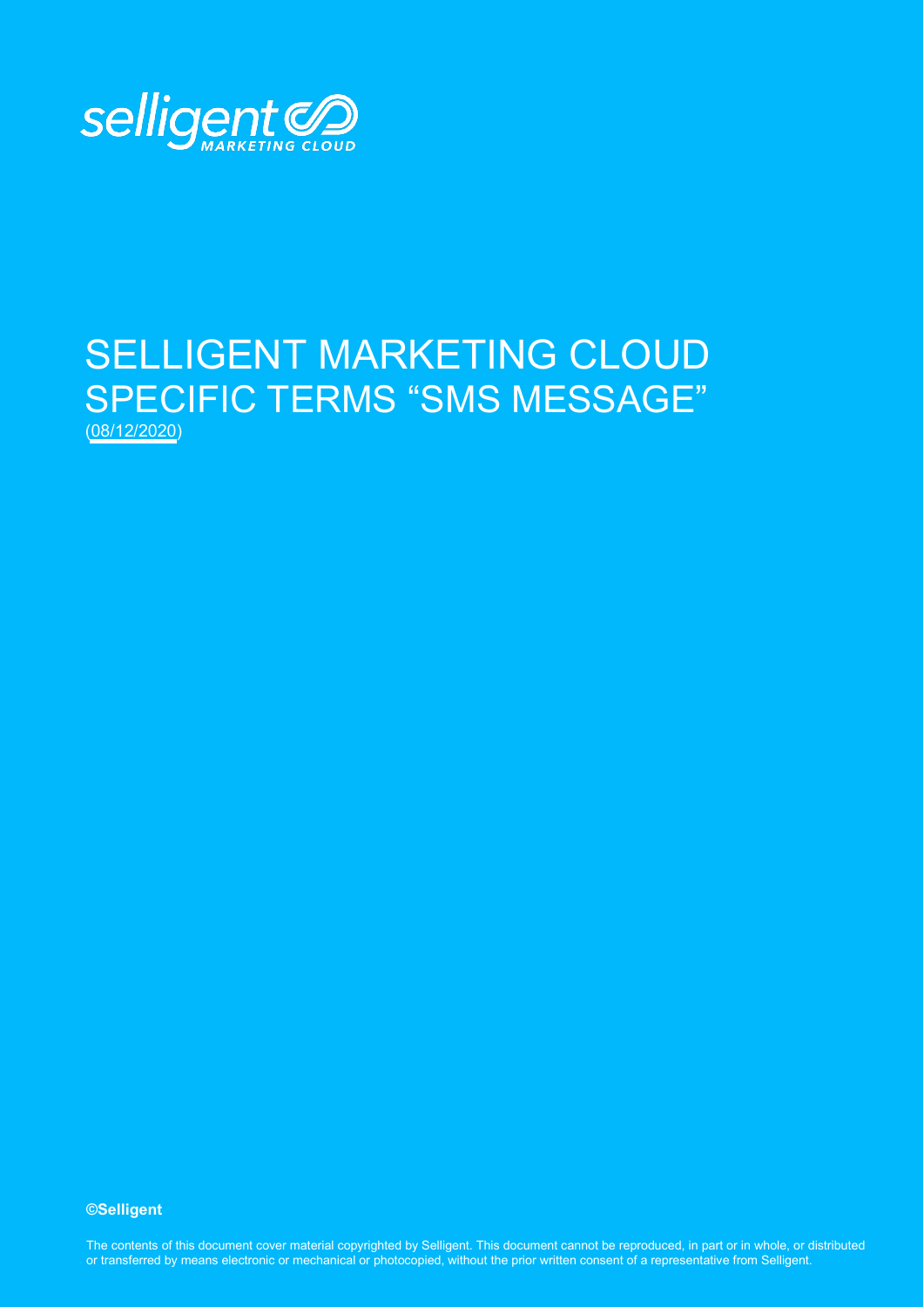

# SELLIGENT MARKETING CLOUD SPECIFIC TERMS "SMS MESSAGE" (08/12/2020)

**©Selligent** 

The contents of this document cover material copyrighted by Selligent. This document cannot be reproduced, in part or in whole, or distributed or transferred by means electronic or mechanical or photocopied, without the prior written consent of a representative from Selligent.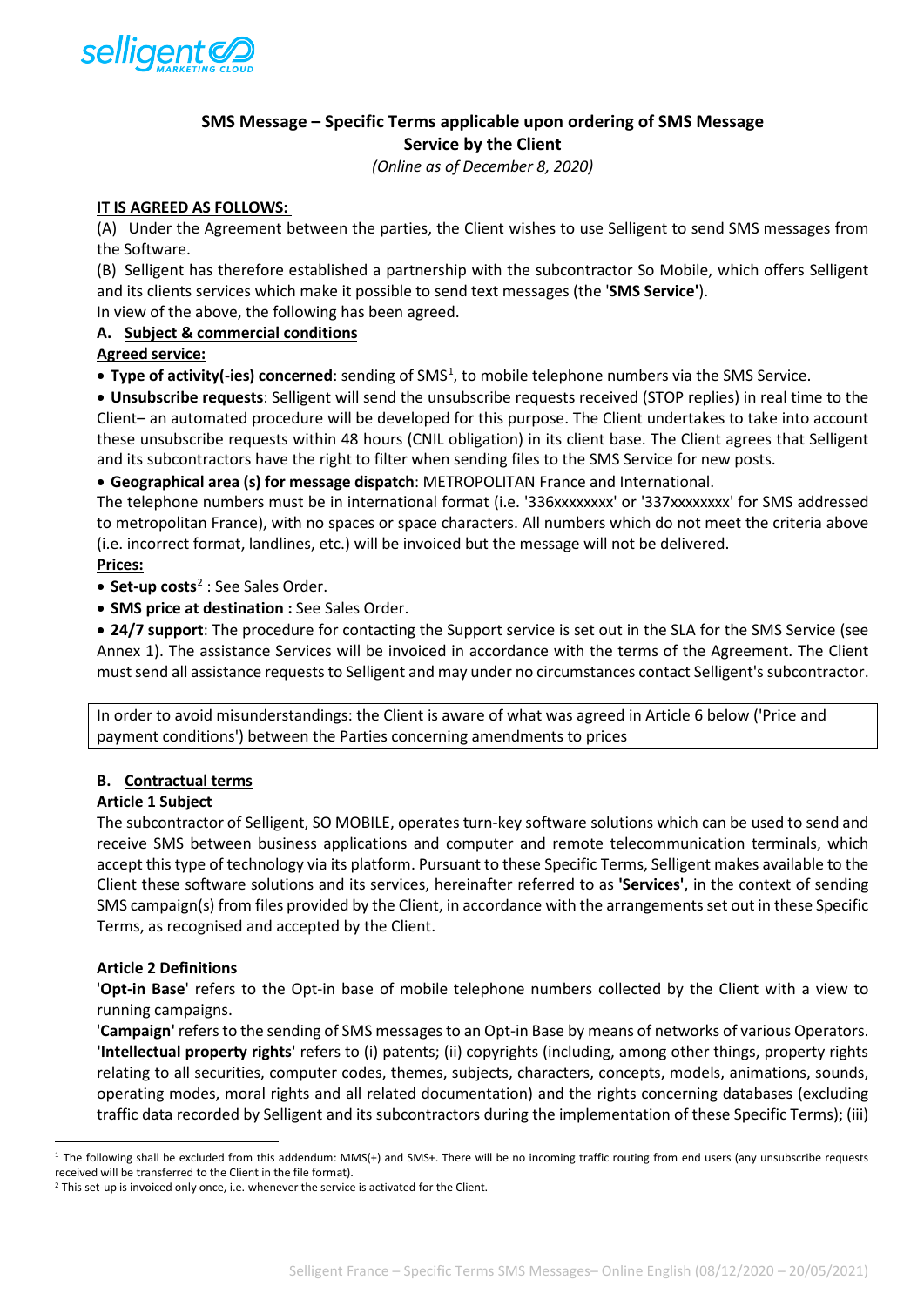

# **SMS Message – Specific Terms applicable upon ordering of SMS Message Service by the Client**

*(Online as of December 8, 2020)*

## **IT IS AGREED AS FOLLOWS:**

(A) Under the Agreement between the parties, the Client wishes to use Selligent to send SMS messages from the Software.

(B) Selligent has therefore established a partnership with the subcontractor So Mobile, which offers Selligent and its clients services which make it possible to send text messages (the '**SMS Service'**).

In view of the above, the following has been agreed.

## **A. Subject & commercial conditions**

**Agreed service:** 

**• Type of activity(-ies) concerned**: sending of SMS<sup>[1](#page-1-0)</sup>, to mobile telephone numbers via the SMS Service.

• **Unsubscribe requests**: Selligent will send the unsubscribe requests received (STOP replies) in real time to the Client– an automated procedure will be developed for this purpose. The Client undertakes to take into account these unsubscribe requests within 48 hours (CNIL obligation) in its client base. The Client agrees that Selligent and its subcontractors have the right to filter when sending files to the SMS Service for new posts.

• **Geographical area (s) for message dispatch**: METROPOLITAN France and International.

The telephone numbers must be in international format (i.e. '336xxxxxxxx' or '337xxxxxxxx' for SMS addressed to metropolitan France), with no spaces or space characters. All numbers which do not meet the criteria above (i.e. incorrect format, landlines, etc.) will be invoiced but the message will not be delivered. **Prices:** 

• **Set-up costs**[2](#page-1-1) : See Sales Order.

• **SMS price at destination :** See Sales Order.

• **24/7 support**: The procedure for contacting the Support service is set out in the SLA for the SMS Service (see Annex 1). The assistance Services will be invoiced in accordance with the terms of the Agreement. The Client must send all assistance requests to Selligent and may under no circumstances contact Selligent's subcontractor.

In order to avoid misunderstandings: the Client is aware of what was agreed in Article 6 below ('Price and payment conditions') between the Parties concerning amendments to prices

# **B. Contractual terms**

#### **Article 1 Subject**

The subcontractor of Selligent, SO MOBILE, operates turn-key software solutions which can be used to send and receive SMS between business applications and computer and remote telecommunication terminals, which accept this type of technology via its platform. Pursuant to these Specific Terms, Selligent makes available to the Client these software solutions and its services, hereinafter referred to as **'Services'**, in the context of sending SMS campaign(s) from files provided by the Client, in accordance with the arrangements set out in these Specific Terms, as recognised and accepted by the Client.

#### **Article 2 Definitions**

'**Opt-in Base**' refers to the Opt-in base of mobile telephone numbers collected by the Client with a view to running campaigns.

'**Campaign'** refers to the sending of SMS messages to an Opt-in Base by means of networks of various Operators. **'Intellectual property rights'** refers to (i) patents; (ii) copyrights (including, among other things, property rights relating to all securities, computer codes, themes, subjects, characters, concepts, models, animations, sounds, operating modes, moral rights and all related documentation) and the rights concerning databases (excluding traffic data recorded by Selligent and its subcontractors during the implementation of these Specific Terms); (iii)

<span id="page-1-0"></span><sup>&</sup>lt;sup>1</sup> The following shall be excluded from this addendum: MMS(+) and SMS+. There will be no incoming traffic routing from end users (any unsubscribe requests received will be transferred to the Client in the file format).

<span id="page-1-1"></span><sup>&</sup>lt;sup>2</sup> This set-up is invoiced only once, i.e. whenever the service is activated for the Client.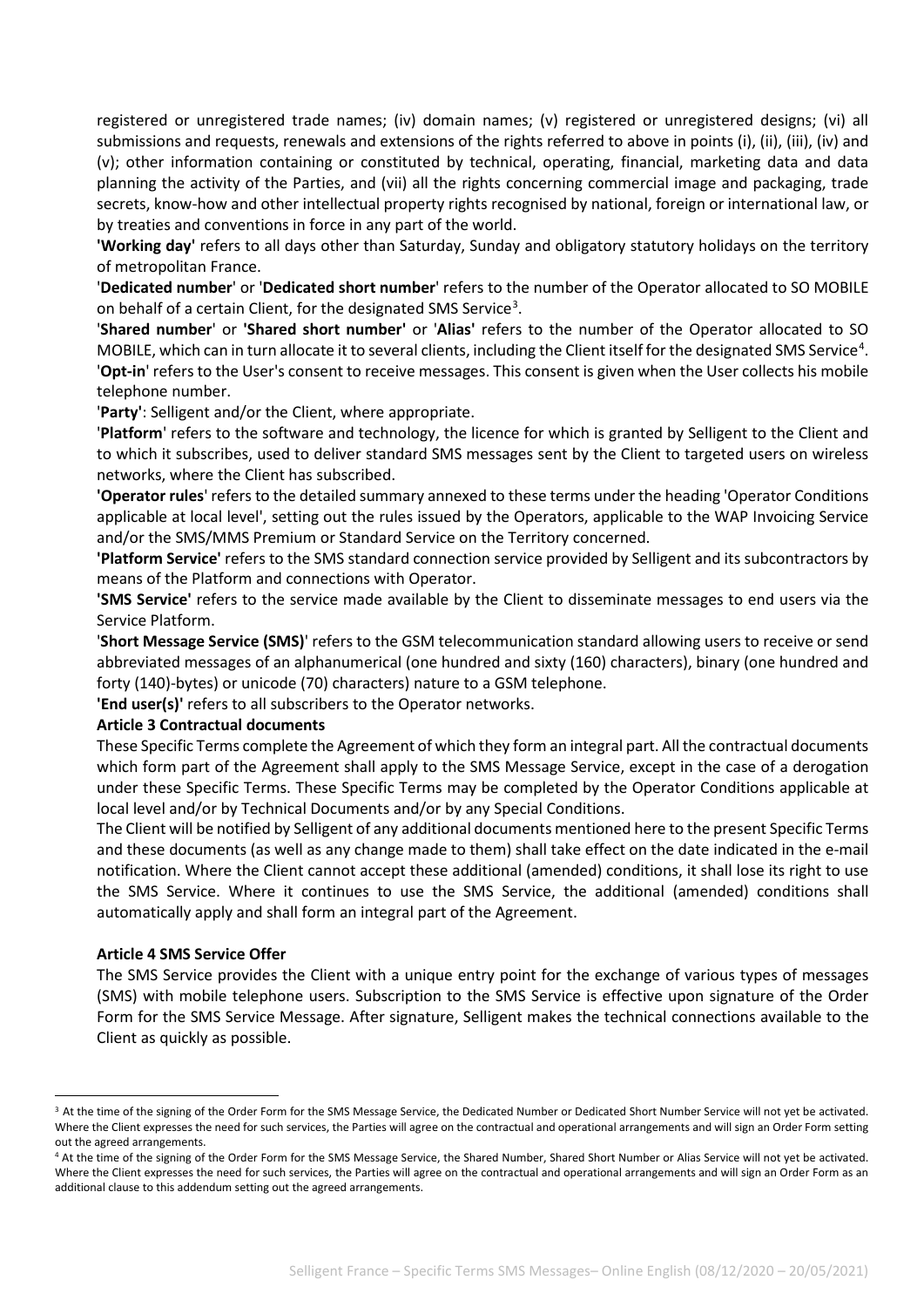registered or unregistered trade names; (iv) domain names; (v) registered or unregistered designs; (vi) all submissions and requests, renewals and extensions of the rights referred to above in points (i), (ii), (iii), (iv) and (v); other information containing or constituted by technical, operating, financial, marketing data and data planning the activity of the Parties, and (vii) all the rights concerning commercial image and packaging, trade secrets, know-how and other intellectual property rights recognised by national, foreign or international law, or by treaties and conventions in force in any part of the world.

**'Working day'** refers to all days other than Saturday, Sunday and obligatory statutory holidays on the territory of metropolitan France.

'**Dedicated number**' or '**Dedicated short number**' refers to the number of the Operator allocated to SO MOBILE on behalf of a certain Client, for the designated SMS Service<sup>[3](#page-2-0)</sup>.

'**Shared number**' or **'Shared short number'** or '**Alias'** refers to the number of the Operator allocated to SO MOBILE, which can in turn allocate it to several clients, including the Client itself for the designated SMS Service<sup>[4](#page-2-1)</sup>. '**Opt-in**' refers to the User's consent to receive messages. This consent is given when the User collects his mobile telephone number.

'**Party'**: Selligent and/or the Client, where appropriate.

'**Platform**' refers to the software and technology, the licence for which is granted by Selligent to the Client and to which it subscribes, used to deliver standard SMS messages sent by the Client to targeted users on wireless networks, where the Client has subscribed.

**'Operator rules**' refers to the detailed summary annexed to these terms under the heading 'Operator Conditions applicable at local level', setting out the rules issued by the Operators, applicable to the WAP Invoicing Service and/or the SMS/MMS Premium or Standard Service on the Territory concerned.

**'Platform Service'** refers to the SMS standard connection service provided by Selligent and its subcontractors by means of the Platform and connections with Operator.

**'SMS Service'** refers to the service made available by the Client to disseminate messages to end users via the Service Platform.

'**Short Message Service (SMS)**' refers to the GSM telecommunication standard allowing users to receive or send abbreviated messages of an alphanumerical (one hundred and sixty (160) characters), binary (one hundred and forty (140)-bytes) or unicode (70) characters) nature to a GSM telephone.

**'End user(s)'** refers to all subscribers to the Operator networks.

#### **Article 3 Contractual documents**

These Specific Terms complete the Agreement of which they form an integral part. All the contractual documents which form part of the Agreement shall apply to the SMS Message Service, except in the case of a derogation under these Specific Terms. These Specific Terms may be completed by the Operator Conditions applicable at local level and/or by Technical Documents and/or by any Special Conditions.

The Client will be notified by Selligent of any additional documents mentioned here to the present Specific Terms and these documents (as well as any change made to them) shall take effect on the date indicated in the e-mail notification. Where the Client cannot accept these additional (amended) conditions, it shall lose its right to use the SMS Service. Where it continues to use the SMS Service, the additional (amended) conditions shall automatically apply and shall form an integral part of the Agreement.

#### **Article 4 SMS Service Offer**

The SMS Service provides the Client with a unique entry point for the exchange of various types of messages (SMS) with mobile telephone users. Subscription to the SMS Service is effective upon signature of the Order Form for the SMS Service Message. After signature, Selligent makes the technical connections available to the Client as quickly as possible.

<span id="page-2-0"></span><sup>&</sup>lt;sup>3</sup> At the time of the signing of the Order Form for the SMS Message Service, the Dedicated Number or Dedicated Short Number Service will not yet be activated. Where the Client expresses the need for such services, the Parties will agree on the contractual and operational arrangements and will sign an Order Form setting out the agreed arrangements.

<span id="page-2-1"></span><sup>4</sup> At the time of the signing of the Order Form for the SMS Message Service, the Shared Number, Shared Short Number or Alias Service will not yet be activated. Where the Client expresses the need for such services, the Parties will agree on the contractual and operational arrangements and will sign an Order Form as an additional clause to this addendum setting out the agreed arrangements.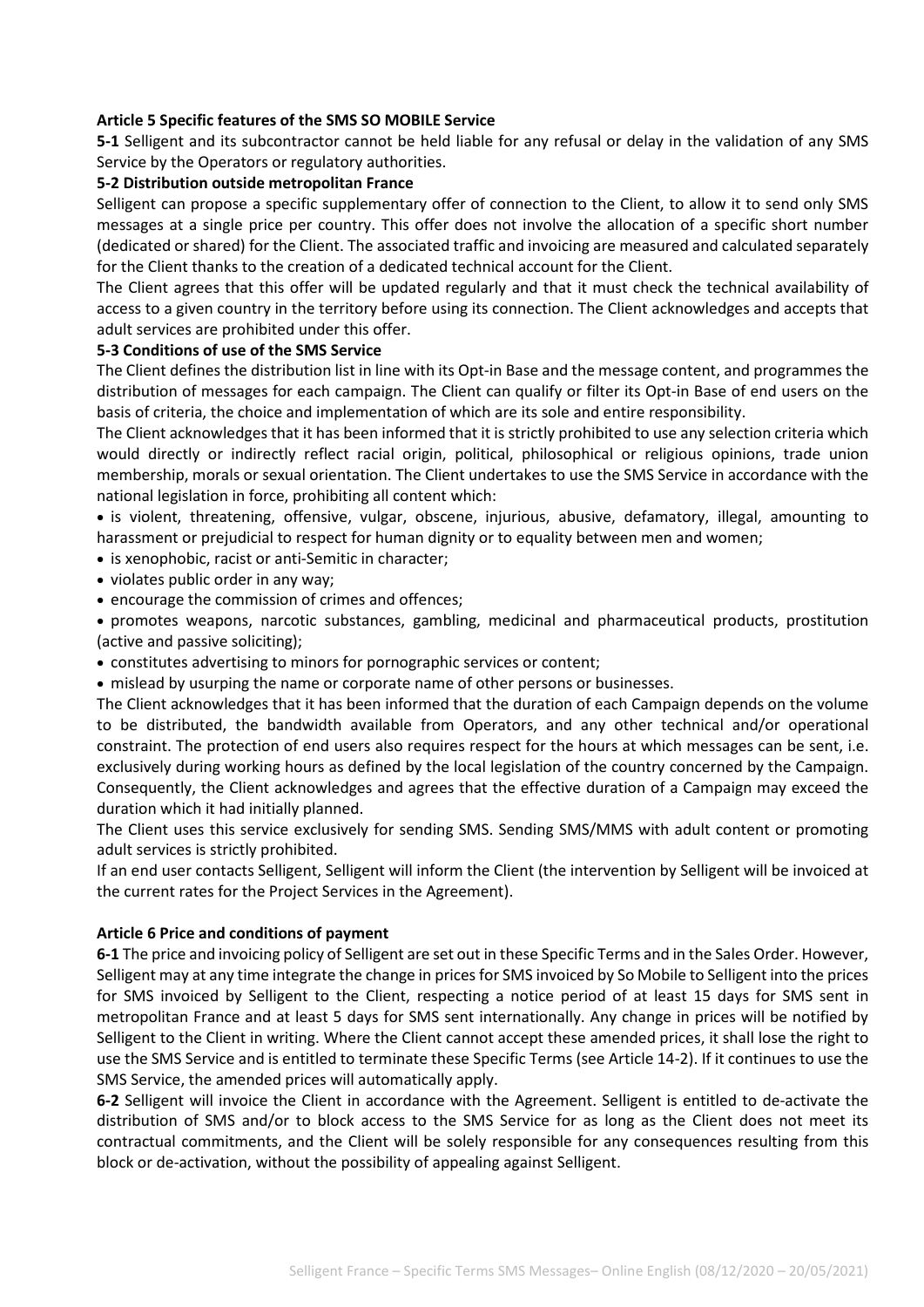#### **Article 5 Specific features of the SMS SO MOBILE Service**

**5-1** Selligent and its subcontractor cannot be held liable for any refusal or delay in the validation of any SMS Service by the Operators or regulatory authorities.

#### **5-2 Distribution outside metropolitan France**

Selligent can propose a specific supplementary offer of connection to the Client, to allow it to send only SMS messages at a single price per country. This offer does not involve the allocation of a specific short number (dedicated or shared) for the Client. The associated traffic and invoicing are measured and calculated separately for the Client thanks to the creation of a dedicated technical account for the Client.

The Client agrees that this offer will be updated regularly and that it must check the technical availability of access to a given country in the territory before using its connection. The Client acknowledges and accepts that adult services are prohibited under this offer.

## **5-3 Conditions of use of the SMS Service**

The Client defines the distribution list in line with its Opt-in Base and the message content, and programmes the distribution of messages for each campaign. The Client can qualify or filter its Opt-in Base of end users on the basis of criteria, the choice and implementation of which are its sole and entire responsibility.

The Client acknowledges that it has been informed that it is strictly prohibited to use any selection criteria which would directly or indirectly reflect racial origin, political, philosophical or religious opinions, trade union membership, morals or sexual orientation. The Client undertakes to use the SMS Service in accordance with the national legislation in force, prohibiting all content which:

• is violent, threatening, offensive, vulgar, obscene, injurious, abusive, defamatory, illegal, amounting to harassment or prejudicial to respect for human dignity or to equality between men and women;

• is xenophobic, racist or anti-Semitic in character;

- violates public order in any way;
- encourage the commission of crimes and offences;

• promotes weapons, narcotic substances, gambling, medicinal and pharmaceutical products, prostitution (active and passive soliciting);

- constitutes advertising to minors for pornographic services or content;
- mislead by usurping the name or corporate name of other persons or businesses.

The Client acknowledges that it has been informed that the duration of each Campaign depends on the volume to be distributed, the bandwidth available from Operators, and any other technical and/or operational constraint. The protection of end users also requires respect for the hours at which messages can be sent, i.e. exclusively during working hours as defined by the local legislation of the country concerned by the Campaign. Consequently, the Client acknowledges and agrees that the effective duration of a Campaign may exceed the duration which it had initially planned.

The Client uses this service exclusively for sending SMS. Sending SMS/MMS with adult content or promoting adult services is strictly prohibited.

If an end user contacts Selligent, Selligent will inform the Client (the intervention by Selligent will be invoiced at the current rates for the Project Services in the Agreement).

#### **Article 6 Price and conditions of payment**

**6-1** The price and invoicing policy of Selligent are set out in these Specific Terms and in the Sales Order. However, Selligent may at any time integrate the change in prices for SMS invoiced by So Mobile to Selligent into the prices for SMS invoiced by Selligent to the Client, respecting a notice period of at least 15 days for SMS sent in metropolitan France and at least 5 days for SMS sent internationally. Any change in prices will be notified by Selligent to the Client in writing. Where the Client cannot accept these amended prices, it shall lose the right to use the SMS Service and is entitled to terminate these Specific Terms (see Article 14-2). If it continues to use the SMS Service, the amended prices will automatically apply.

**6-2** Selligent will invoice the Client in accordance with the Agreement. Selligent is entitled to de-activate the distribution of SMS and/or to block access to the SMS Service for as long as the Client does not meet its contractual commitments, and the Client will be solely responsible for any consequences resulting from this block or de-activation, without the possibility of appealing against Selligent.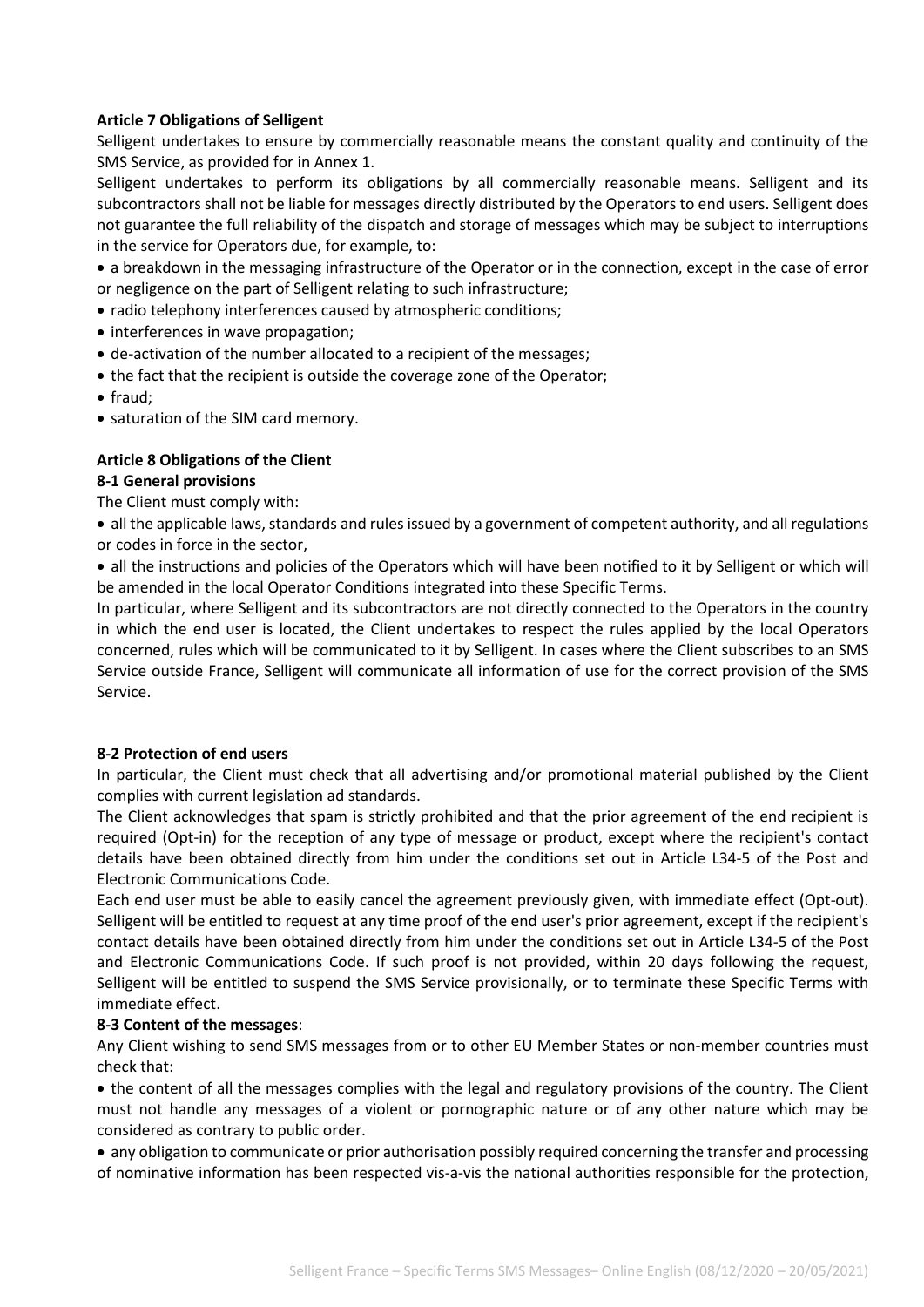## **Article 7 Obligations of Selligent**

Selligent undertakes to ensure by commercially reasonable means the constant quality and continuity of the SMS Service, as provided for in Annex 1.

Selligent undertakes to perform its obligations by all commercially reasonable means. Selligent and its subcontractors shall not be liable for messages directly distributed by the Operators to end users. Selligent does not guarantee the full reliability of the dispatch and storage of messages which may be subject to interruptions in the service for Operators due, for example, to:

- a breakdown in the messaging infrastructure of the Operator or in the connection, except in the case of error or negligence on the part of Selligent relating to such infrastructure;
- radio telephony interferences caused by atmospheric conditions;
- interferences in wave propagation;
- de-activation of the number allocated to a recipient of the messages;
- the fact that the recipient is outside the coverage zone of the Operator;
- fraud;
- saturation of the SIM card memory.

## **Article 8 Obligations of the Client 8-1 General provisions**

The Client must comply with:

• all the applicable laws, standards and rules issued by a government of competent authority, and all regulations or codes in force in the sector,

• all the instructions and policies of the Operators which will have been notified to it by Selligent or which will be amended in the local Operator Conditions integrated into these Specific Terms.

In particular, where Selligent and its subcontractors are not directly connected to the Operators in the country in which the end user is located, the Client undertakes to respect the rules applied by the local Operators concerned, rules which will be communicated to it by Selligent. In cases where the Client subscribes to an SMS Service outside France, Selligent will communicate all information of use for the correct provision of the SMS Service.

#### **8-2 Protection of end users**

In particular, the Client must check that all advertising and/or promotional material published by the Client complies with current legislation ad standards.

The Client acknowledges that spam is strictly prohibited and that the prior agreement of the end recipient is required (Opt-in) for the reception of any type of message or product, except where the recipient's contact details have been obtained directly from him under the conditions set out in Article L34-5 of the Post and Electronic Communications Code.

Each end user must be able to easily cancel the agreement previously given, with immediate effect (Opt-out). Selligent will be entitled to request at any time proof of the end user's prior agreement, except if the recipient's contact details have been obtained directly from him under the conditions set out in Article L34-5 of the Post and Electronic Communications Code. If such proof is not provided, within 20 days following the request, Selligent will be entitled to suspend the SMS Service provisionally, or to terminate these Specific Terms with immediate effect.

#### **8-3 Content of the messages**:

Any Client wishing to send SMS messages from or to other EU Member States or non-member countries must check that:

• the content of all the messages complies with the legal and regulatory provisions of the country. The Client must not handle any messages of a violent or pornographic nature or of any other nature which may be considered as contrary to public order.

• any obligation to communicate or prior authorisation possibly required concerning the transfer and processing of nominative information has been respected vis-a-vis the national authorities responsible for the protection,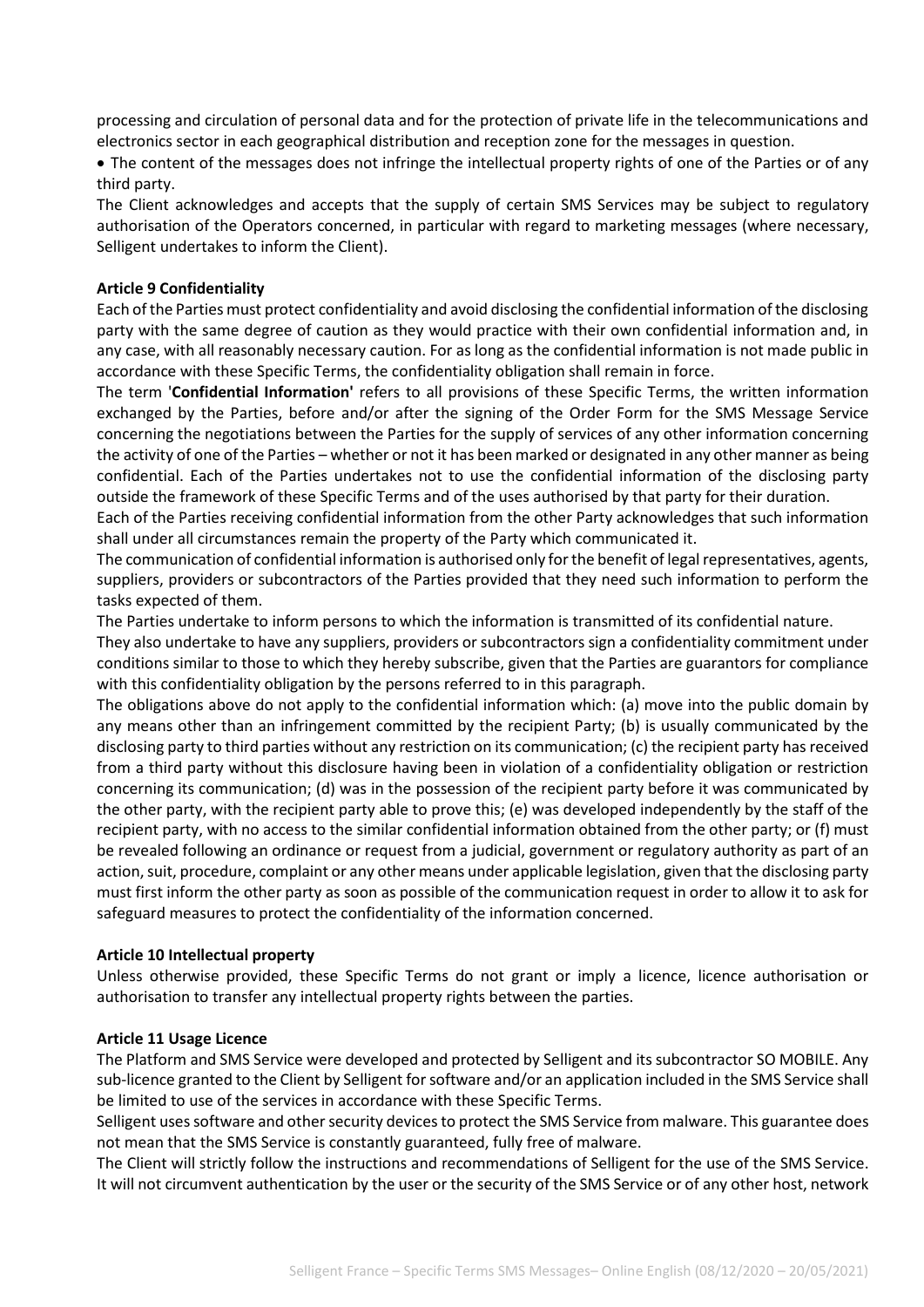processing and circulation of personal data and for the protection of private life in the telecommunications and electronics sector in each geographical distribution and reception zone for the messages in question.

• The content of the messages does not infringe the intellectual property rights of one of the Parties or of any third party.

The Client acknowledges and accepts that the supply of certain SMS Services may be subject to regulatory authorisation of the Operators concerned, in particular with regard to marketing messages (where necessary, Selligent undertakes to inform the Client).

#### **Article 9 Confidentiality**

Each of the Parties must protect confidentiality and avoid disclosing the confidential information of the disclosing party with the same degree of caution as they would practice with their own confidential information and, in any case, with all reasonably necessary caution. For as long as the confidential information is not made public in accordance with these Specific Terms, the confidentiality obligation shall remain in force.

The term '**Confidential Information'** refers to all provisions of these Specific Terms, the written information exchanged by the Parties, before and/or after the signing of the Order Form for the SMS Message Service concerning the negotiations between the Parties for the supply of services of any other information concerning the activity of one of the Parties – whether or not it has been marked or designated in any other manner as being confidential. Each of the Parties undertakes not to use the confidential information of the disclosing party outside the framework of these Specific Terms and of the uses authorised by that party for their duration.

Each of the Parties receiving confidential information from the other Party acknowledges that such information shall under all circumstances remain the property of the Party which communicated it.

The communication of confidential information is authorised only for the benefit of legal representatives, agents, suppliers, providers or subcontractors of the Parties provided that they need such information to perform the tasks expected of them.

The Parties undertake to inform persons to which the information is transmitted of its confidential nature.

They also undertake to have any suppliers, providers or subcontractors sign a confidentiality commitment under conditions similar to those to which they hereby subscribe, given that the Parties are guarantors for compliance with this confidentiality obligation by the persons referred to in this paragraph.

The obligations above do not apply to the confidential information which: (a) move into the public domain by any means other than an infringement committed by the recipient Party; (b) is usually communicated by the disclosing party to third parties without any restriction on its communication; (c) the recipient party has received from a third party without this disclosure having been in violation of a confidentiality obligation or restriction concerning its communication; (d) was in the possession of the recipient party before it was communicated by the other party, with the recipient party able to prove this; (e) was developed independently by the staff of the recipient party, with no access to the similar confidential information obtained from the other party; or (f) must be revealed following an ordinance or request from a judicial, government or regulatory authority as part of an action, suit, procedure, complaint or any other means under applicable legislation, given that the disclosing party must first inform the other party as soon as possible of the communication request in order to allow it to ask for safeguard measures to protect the confidentiality of the information concerned.

#### **Article 10 Intellectual property**

Unless otherwise provided, these Specific Terms do not grant or imply a licence, licence authorisation or authorisation to transfer any intellectual property rights between the parties.

#### **Article 11 Usage Licence**

The Platform and SMS Service were developed and protected by Selligent and its subcontractor SO MOBILE. Any sub-licence granted to the Client by Selligent for software and/or an application included in the SMS Service shall be limited to use of the services in accordance with these Specific Terms.

Selligent uses software and other security devices to protect the SMS Service from malware. This guarantee does not mean that the SMS Service is constantly guaranteed, fully free of malware.

The Client will strictly follow the instructions and recommendations of Selligent for the use of the SMS Service. It will not circumvent authentication by the user or the security of the SMS Service or of any other host, network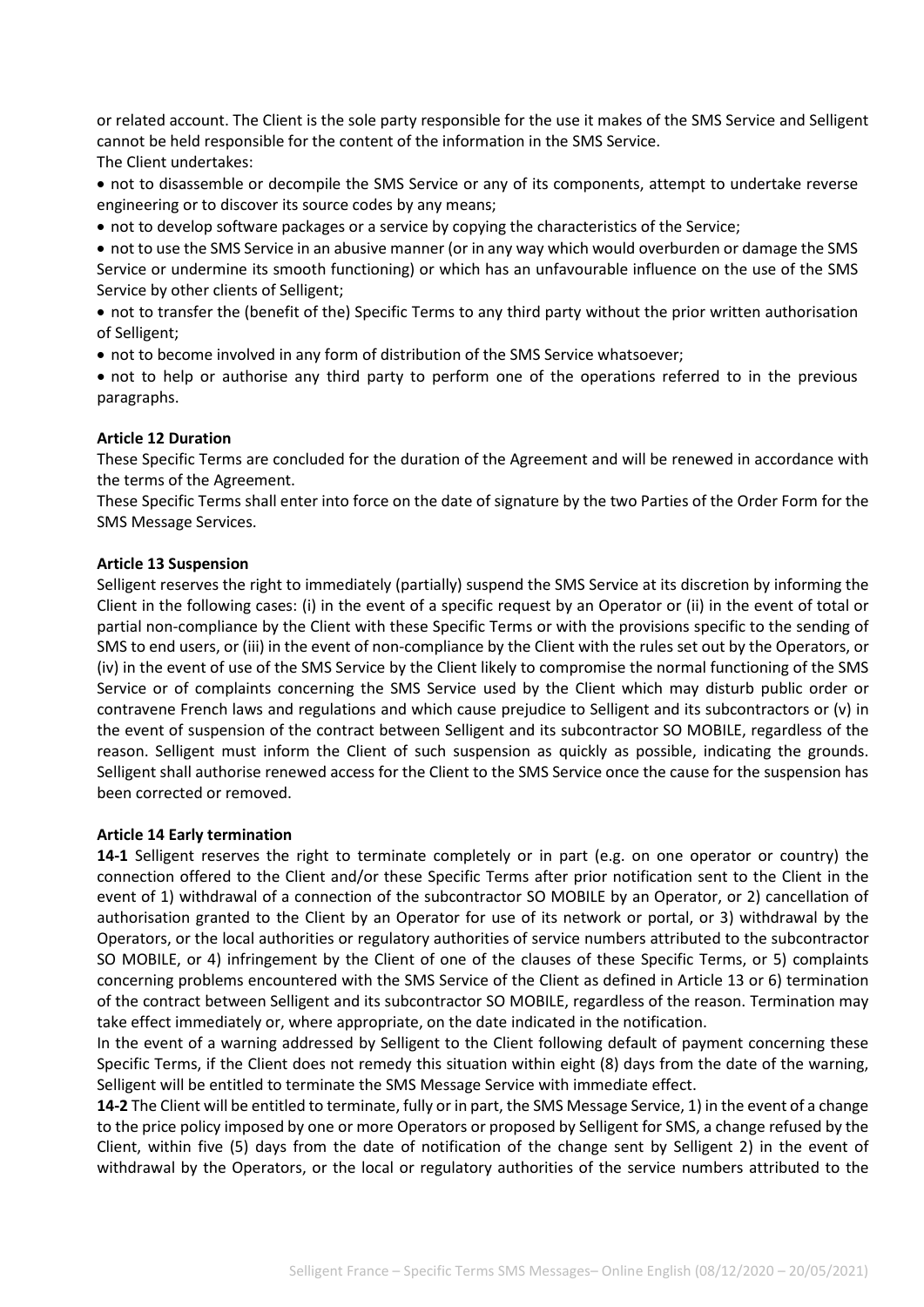or related account. The Client is the sole party responsible for the use it makes of the SMS Service and Selligent cannot be held responsible for the content of the information in the SMS Service. The Client undertakes:

• not to disassemble or decompile the SMS Service or any of its components, attempt to undertake reverse engineering or to discover its source codes by any means;

• not to develop software packages or a service by copying the characteristics of the Service;

• not to use the SMS Service in an abusive manner (or in any way which would overburden or damage the SMS Service or undermine its smooth functioning) or which has an unfavourable influence on the use of the SMS Service by other clients of Selligent;

• not to transfer the (benefit of the) Specific Terms to any third party without the prior written authorisation of Selligent;

• not to become involved in any form of distribution of the SMS Service whatsoever;

• not to help or authorise any third party to perform one of the operations referred to in the previous paragraphs.

#### **Article 12 Duration**

These Specific Terms are concluded for the duration of the Agreement and will be renewed in accordance with the terms of the Agreement.

These Specific Terms shall enter into force on the date of signature by the two Parties of the Order Form for the SMS Message Services.

#### **Article 13 Suspension**

Selligent reserves the right to immediately (partially) suspend the SMS Service at its discretion by informing the Client in the following cases: (i) in the event of a specific request by an Operator or (ii) in the event of total or partial non-compliance by the Client with these Specific Terms or with the provisions specific to the sending of SMS to end users, or (iii) in the event of non-compliance by the Client with the rules set out by the Operators, or (iv) in the event of use of the SMS Service by the Client likely to compromise the normal functioning of the SMS Service or of complaints concerning the SMS Service used by the Client which may disturb public order or contravene French laws and regulations and which cause prejudice to Selligent and its subcontractors or (v) in the event of suspension of the contract between Selligent and its subcontractor SO MOBILE, regardless of the reason. Selligent must inform the Client of such suspension as quickly as possible, indicating the grounds. Selligent shall authorise renewed access for the Client to the SMS Service once the cause for the suspension has been corrected or removed.

#### **Article 14 Early termination**

**14-1** Selligent reserves the right to terminate completely or in part (e.g. on one operator or country) the connection offered to the Client and/or these Specific Terms after prior notification sent to the Client in the event of 1) withdrawal of a connection of the subcontractor SO MOBILE by an Operator, or 2) cancellation of authorisation granted to the Client by an Operator for use of its network or portal, or 3) withdrawal by the Operators, or the local authorities or regulatory authorities of service numbers attributed to the subcontractor SO MOBILE, or 4) infringement by the Client of one of the clauses of these Specific Terms, or 5) complaints concerning problems encountered with the SMS Service of the Client as defined in Article 13 or 6) termination of the contract between Selligent and its subcontractor SO MOBILE, regardless of the reason. Termination may take effect immediately or, where appropriate, on the date indicated in the notification.

In the event of a warning addressed by Selligent to the Client following default of payment concerning these Specific Terms, if the Client does not remedy this situation within eight (8) days from the date of the warning, Selligent will be entitled to terminate the SMS Message Service with immediate effect.

**14-2** The Client will be entitled to terminate, fully or in part, the SMS Message Service, 1) in the event of a change to the price policy imposed by one or more Operators or proposed by Selligent for SMS, a change refused by the Client, within five (5) days from the date of notification of the change sent by Selligent 2) in the event of withdrawal by the Operators, or the local or regulatory authorities of the service numbers attributed to the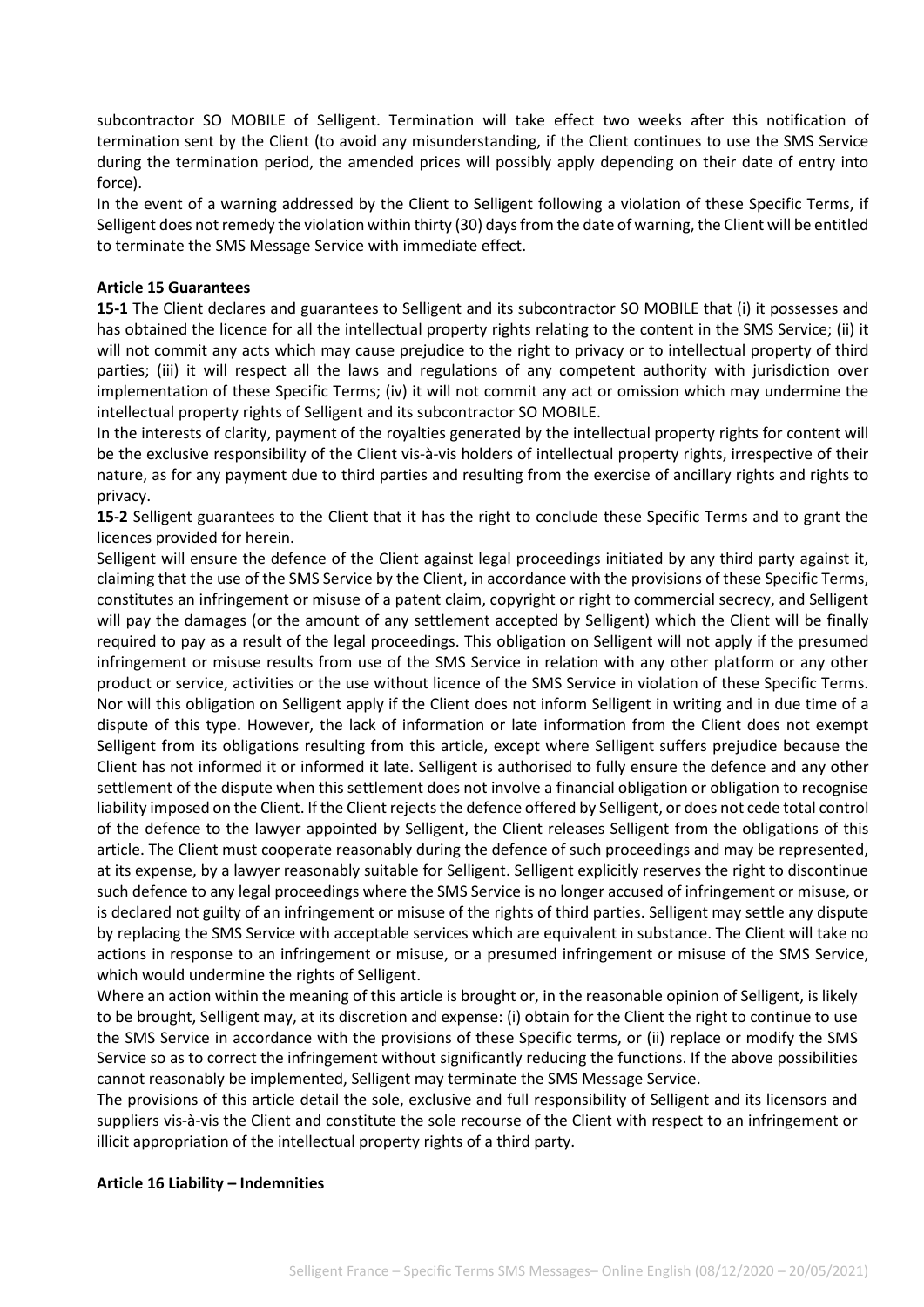subcontractor SO MOBILE of Selligent. Termination will take effect two weeks after this notification of termination sent by the Client (to avoid any misunderstanding, if the Client continues to use the SMS Service during the termination period, the amended prices will possibly apply depending on their date of entry into force).

In the event of a warning addressed by the Client to Selligent following a violation of these Specific Terms, if Selligent does not remedy the violation within thirty (30) days from the date of warning, the Client will be entitled to terminate the SMS Message Service with immediate effect.

#### **Article 15 Guarantees**

**15-1** The Client declares and guarantees to Selligent and its subcontractor SO MOBILE that (i) it possesses and has obtained the licence for all the intellectual property rights relating to the content in the SMS Service; (ii) it will not commit any acts which may cause prejudice to the right to privacy or to intellectual property of third parties; (iii) it will respect all the laws and regulations of any competent authority with jurisdiction over implementation of these Specific Terms; (iv) it will not commit any act or omission which may undermine the intellectual property rights of Selligent and its subcontractor SO MOBILE.

In the interests of clarity, payment of the royalties generated by the intellectual property rights for content will be the exclusive responsibility of the Client vis-à-vis holders of intellectual property rights, irrespective of their nature, as for any payment due to third parties and resulting from the exercise of ancillary rights and rights to privacy.

**15-2** Selligent guarantees to the Client that it has the right to conclude these Specific Terms and to grant the licences provided for herein.

Selligent will ensure the defence of the Client against legal proceedings initiated by any third party against it, claiming that the use of the SMS Service by the Client, in accordance with the provisions of these Specific Terms, constitutes an infringement or misuse of a patent claim, copyright or right to commercial secrecy, and Selligent will pay the damages (or the amount of any settlement accepted by Selligent) which the Client will be finally required to pay as a result of the legal proceedings. This obligation on Selligent will not apply if the presumed infringement or misuse results from use of the SMS Service in relation with any other platform or any other product or service, activities or the use without licence of the SMS Service in violation of these Specific Terms. Nor will this obligation on Selligent apply if the Client does not inform Selligent in writing and in due time of a dispute of this type. However, the lack of information or late information from the Client does not exempt Selligent from its obligations resulting from this article, except where Selligent suffers prejudice because the Client has not informed it or informed it late. Selligent is authorised to fully ensure the defence and any other settlement of the dispute when this settlement does not involve a financial obligation or obligation to recognise liability imposed on the Client. If the Client rejects the defence offered by Selligent, or does not cede total control of the defence to the lawyer appointed by Selligent, the Client releases Selligent from the obligations of this article. The Client must cooperate reasonably during the defence of such proceedings and may be represented, at its expense, by a lawyer reasonably suitable for Selligent. Selligent explicitly reserves the right to discontinue such defence to any legal proceedings where the SMS Service is no longer accused of infringement or misuse, or is declared not guilty of an infringement or misuse of the rights of third parties. Selligent may settle any dispute by replacing the SMS Service with acceptable services which are equivalent in substance. The Client will take no actions in response to an infringement or misuse, or a presumed infringement or misuse of the SMS Service, which would undermine the rights of Selligent.

Where an action within the meaning of this article is brought or, in the reasonable opinion of Selligent, is likely to be brought, Selligent may, at its discretion and expense: (i) obtain for the Client the right to continue to use the SMS Service in accordance with the provisions of these Specific terms, or (ii) replace or modify the SMS Service so as to correct the infringement without significantly reducing the functions. If the above possibilities cannot reasonably be implemented, Selligent may terminate the SMS Message Service.

The provisions of this article detail the sole, exclusive and full responsibility of Selligent and its licensors and suppliers vis-à-vis the Client and constitute the sole recourse of the Client with respect to an infringement or illicit appropriation of the intellectual property rights of a third party.

#### **Article 16 Liability – Indemnities**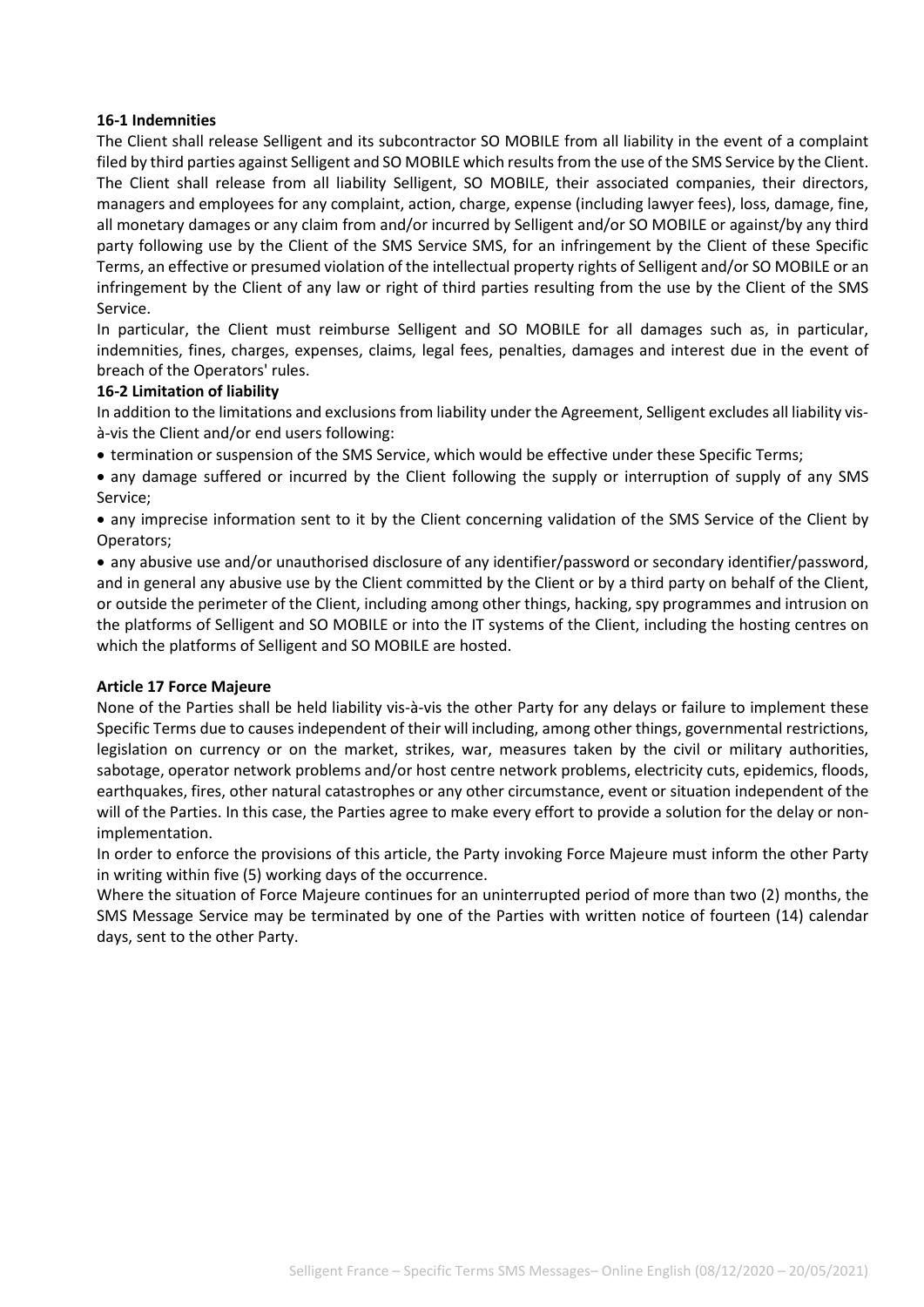### **16-1 Indemnities**

The Client shall release Selligent and its subcontractor SO MOBILE from all liability in the event of a complaint filed by third parties against Selligent and SO MOBILE which results from the use of the SMS Service by the Client. The Client shall release from all liability Selligent, SO MOBILE, their associated companies, their directors, managers and employees for any complaint, action, charge, expense (including lawyer fees), loss, damage, fine, all monetary damages or any claim from and/or incurred by Selligent and/or SO MOBILE or against/by any third party following use by the Client of the SMS Service SMS, for an infringement by the Client of these Specific Terms, an effective or presumed violation of the intellectual property rights of Selligent and/or SO MOBILE or an infringement by the Client of any law or right of third parties resulting from the use by the Client of the SMS Service.

In particular, the Client must reimburse Selligent and SO MOBILE for all damages such as, in particular, indemnities, fines, charges, expenses, claims, legal fees, penalties, damages and interest due in the event of breach of the Operators' rules.

#### **16-2 Limitation of liability**

In addition to the limitations and exclusions from liability under the Agreement, Selligent excludes all liability visà-vis the Client and/or end users following:

• termination or suspension of the SMS Service, which would be effective under these Specific Terms;

• any damage suffered or incurred by the Client following the supply or interruption of supply of any SMS Service;

• any imprecise information sent to it by the Client concerning validation of the SMS Service of the Client by Operators;

• any abusive use and/or unauthorised disclosure of any identifier/password or secondary identifier/password, and in general any abusive use by the Client committed by the Client or by a third party on behalf of the Client, or outside the perimeter of the Client, including among other things, hacking, spy programmes and intrusion on the platforms of Selligent and SO MOBILE or into the IT systems of the Client, including the hosting centres on which the platforms of Selligent and SO MOBILE are hosted.

#### **Article 17 Force Majeure**

None of the Parties shall be held liability vis-à-vis the other Party for any delays or failure to implement these Specific Terms due to causes independent of their will including, among other things, governmental restrictions, legislation on currency or on the market, strikes, war, measures taken by the civil or military authorities, sabotage, operator network problems and/or host centre network problems, electricity cuts, epidemics, floods, earthquakes, fires, other natural catastrophes or any other circumstance, event or situation independent of the will of the Parties. In this case, the Parties agree to make every effort to provide a solution for the delay or nonimplementation.

In order to enforce the provisions of this article, the Party invoking Force Majeure must inform the other Party in writing within five (5) working days of the occurrence.

Where the situation of Force Majeure continues for an uninterrupted period of more than two (2) months, the SMS Message Service may be terminated by one of the Parties with written notice of fourteen (14) calendar days, sent to the other Party.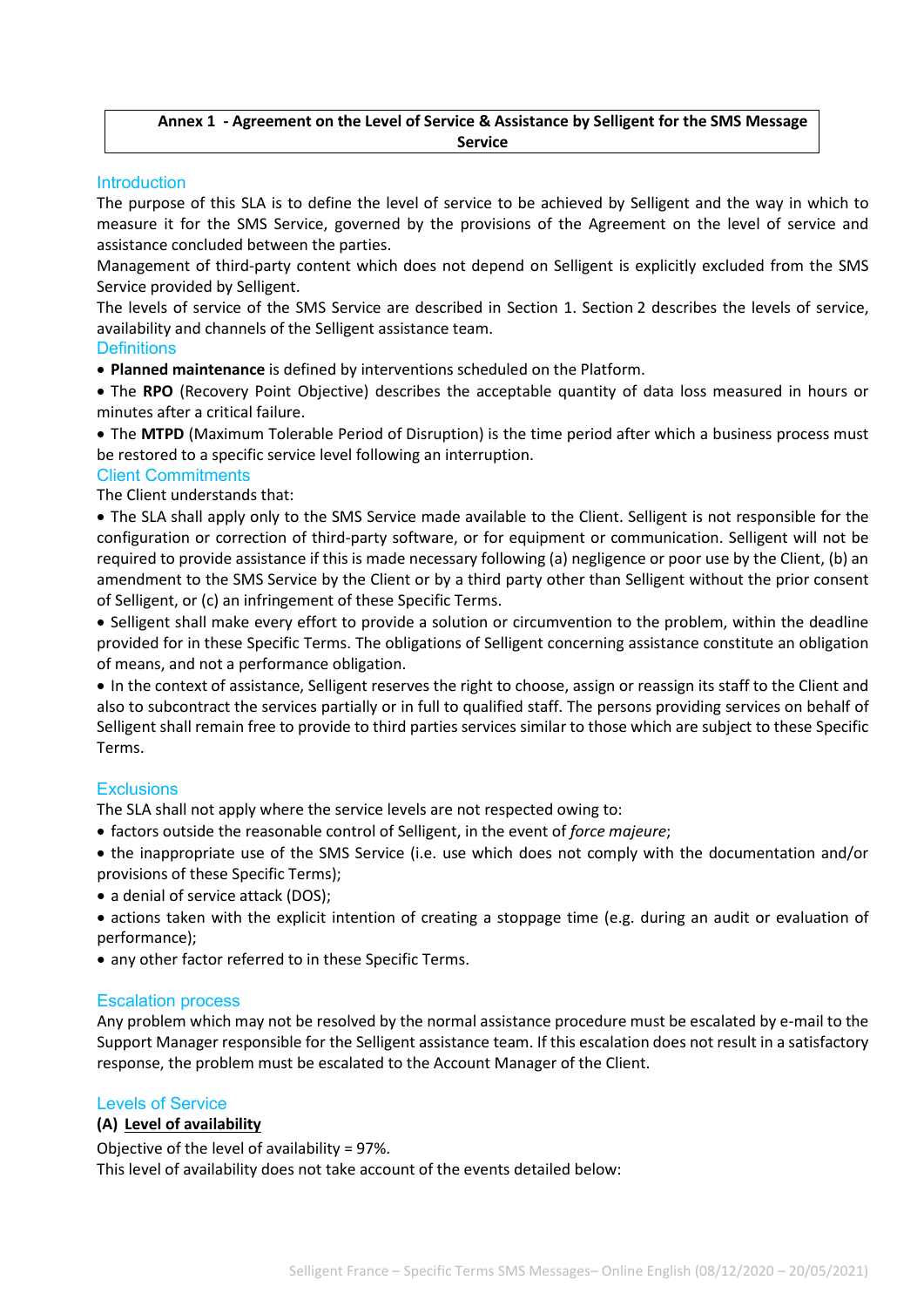## **Annex 1 - Agreement on the Level of Service & Assistance by Selligent for the SMS Message Service**

## **Introduction**

The purpose of this SLA is to define the level of service to be achieved by Selligent and the way in which to measure it for the SMS Service, governed by the provisions of the Agreement on the level of service and assistance concluded between the parties.

Management of third-party content which does not depend on Selligent is explicitly excluded from the SMS Service provided by Selligent.

The levels of service of the SMS Service are described in Section 1. Section 2 describes the levels of service, availability and channels of the Selligent assistance team.

#### **Definitions**

• **Planned maintenance** is defined by interventions scheduled on the Platform.

• The **RPO** (Recovery Point Objective) describes the acceptable quantity of data loss measured in hours or minutes after a critical failure.

• The **MTPD** (Maximum Tolerable Period of Disruption) is the time period after which a business process must be restored to a specific service level following an interruption.

#### Client Commitments

The Client understands that:

• The SLA shall apply only to the SMS Service made available to the Client. Selligent is not responsible for the configuration or correction of third-party software, or for equipment or communication. Selligent will not be required to provide assistance if this is made necessary following (a) negligence or poor use by the Client, (b) an amendment to the SMS Service by the Client or by a third party other than Selligent without the prior consent of Selligent, or (c) an infringement of these Specific Terms.

• Selligent shall make every effort to provide a solution or circumvention to the problem, within the deadline provided for in these Specific Terms. The obligations of Selligent concerning assistance constitute an obligation of means, and not a performance obligation.

• In the context of assistance, Selligent reserves the right to choose, assign or reassign its staff to the Client and also to subcontract the services partially or in full to qualified staff. The persons providing services on behalf of Selligent shall remain free to provide to third parties services similar to those which are subject to these Specific Terms.

# **Exclusions**

The SLA shall not apply where the service levels are not respected owing to:

• factors outside the reasonable control of Selligent, in the event of *force majeure*;

• the inappropriate use of the SMS Service (i.e. use which does not comply with the documentation and/or provisions of these Specific Terms);

• a denial of service attack (DOS);

• actions taken with the explicit intention of creating a stoppage time (e.g. during an audit or evaluation of performance);

• any other factor referred to in these Specific Terms.

#### Escalation process

Any problem which may not be resolved by the normal assistance procedure must be escalated by e-mail to the Support Manager responsible for the Selligent assistance team. If this escalation does not result in a satisfactory response, the problem must be escalated to the Account Manager of the Client.

#### Levels of Service

#### **(A) Level of availability**

Objective of the level of availability = 97%.

This level of availability does not take account of the events detailed below: